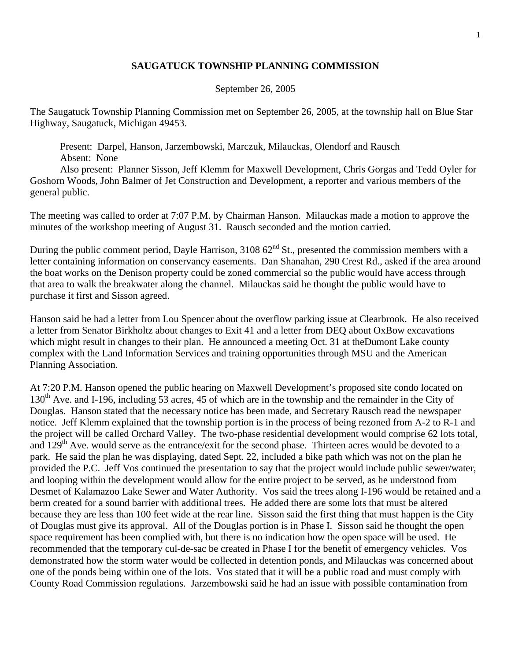## **SAUGATUCK TOWNSHIP PLANNING COMMISSION**

## September 26, 2005

The Saugatuck Township Planning Commission met on September 26, 2005, at the township hall on Blue Star Highway, Saugatuck, Michigan 49453.

 Present: Darpel, Hanson, Jarzembowski, Marczuk, Milauckas, Olendorf and Rausch Absent: None

 Also present: Planner Sisson, Jeff Klemm for Maxwell Development, Chris Gorgas and Tedd Oyler for Goshorn Woods, John Balmer of Jet Construction and Development, a reporter and various members of the general public.

The meeting was called to order at 7:07 P.M. by Chairman Hanson. Milauckas made a motion to approve the minutes of the workshop meeting of August 31. Rausch seconded and the motion carried.

During the public comment period, Dayle Harrison, 3108 62<sup>nd</sup> St., presented the commission members with a letter containing information on conservancy easements. Dan Shanahan, 290 Crest Rd., asked if the area around the boat works on the Denison property could be zoned commercial so the public would have access through that area to walk the breakwater along the channel. Milauckas said he thought the public would have to purchase it first and Sisson agreed.

Hanson said he had a letter from Lou Spencer about the overflow parking issue at Clearbrook. He also received a letter from Senator Birkholtz about changes to Exit 41 and a letter from DEQ about OxBow excavations which might result in changes to their plan. He announced a meeting Oct. 31 at theDumont Lake county complex with the Land Information Services and training opportunities through MSU and the American Planning Association.

At 7:20 P.M. Hanson opened the public hearing on Maxwell Development's proposed site condo located on 130<sup>th</sup> Ave. and I-196, including 53 acres, 45 of which are in the township and the remainder in the City of Douglas. Hanson stated that the necessary notice has been made, and Secretary Rausch read the newspaper notice. Jeff Klemm explained that the township portion is in the process of being rezoned from A-2 to R-1 and the project will be called Orchard Valley. The two-phase residential development would comprise 62 lots total, and 129<sup>th</sup> Ave. would serve as the entrance/exit for the second phase. Thirteen acres would be devoted to a park. He said the plan he was displaying, dated Sept. 22, included a bike path which was not on the plan he provided the P.C. Jeff Vos continued the presentation to say that the project would include public sewer/water, and looping within the development would allow for the entire project to be served, as he understood from Desmet of Kalamazoo Lake Sewer and Water Authority. Vos said the trees along I-196 would be retained and a berm created for a sound barrier with additional trees. He added there are some lots that must be altered because they are less than 100 feet wide at the rear line. Sisson said the first thing that must happen is the City of Douglas must give its approval. All of the Douglas portion is in Phase I. Sisson said he thought the open space requirement has been complied with, but there is no indication how the open space will be used. He recommended that the temporary cul-de-sac be created in Phase I for the benefit of emergency vehicles. Vos demonstrated how the storm water would be collected in detention ponds, and Milauckas was concerned about one of the ponds being within one of the lots. Vos stated that it will be a public road and must comply with County Road Commission regulations. Jarzembowski said he had an issue with possible contamination from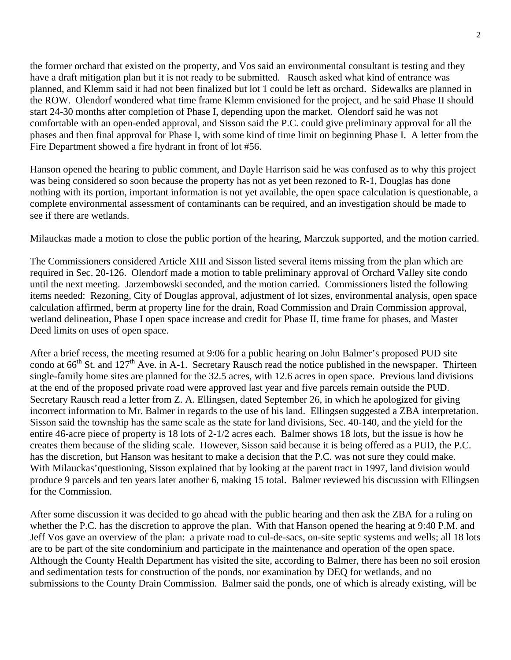the former orchard that existed on the property, and Vos said an environmental consultant is testing and they have a draft mitigation plan but it is not ready to be submitted. Rausch asked what kind of entrance was planned, and Klemm said it had not been finalized but lot 1 could be left as orchard. Sidewalks are planned in the ROW. Olendorf wondered what time frame Klemm envisioned for the project, and he said Phase II should start 24-30 months after completion of Phase I, depending upon the market. Olendorf said he was not comfortable with an open-ended approval, and Sisson said the P.C. could give preliminary approval for all the phases and then final approval for Phase I, with some kind of time limit on beginning Phase I. A letter from the Fire Department showed a fire hydrant in front of lot #56.

Hanson opened the hearing to public comment, and Dayle Harrison said he was confused as to why this project was being considered so soon because the property has not as yet been rezoned to R-1, Douglas has done nothing with its portion, important information is not yet available, the open space calculation is questionable, a complete environmental assessment of contaminants can be required, and an investigation should be made to see if there are wetlands.

Milauckas made a motion to close the public portion of the hearing, Marczuk supported, and the motion carried.

The Commissioners considered Article XIII and Sisson listed several items missing from the plan which are required in Sec. 20-126. Olendorf made a motion to table preliminary approval of Orchard Valley site condo until the next meeting. Jarzembowski seconded, and the motion carried. Commissioners listed the following items needed: Rezoning, City of Douglas approval, adjustment of lot sizes, environmental analysis, open space calculation affirmed, berm at property line for the drain, Road Commission and Drain Commission approval, wetland delineation, Phase I open space increase and credit for Phase II, time frame for phases, and Master Deed limits on uses of open space.

After a brief recess, the meeting resumed at 9:06 for a public hearing on John Balmer's proposed PUD site condo at  $66<sup>th</sup>$  St. and  $127<sup>th</sup>$  Ave. in A-1. Secretary Rausch read the notice published in the newspaper. Thirteen single-family home sites are planned for the 32.5 acres, with 12.6 acres in open space. Previous land divisions at the end of the proposed private road were approved last year and five parcels remain outside the PUD. Secretary Rausch read a letter from Z. A. Ellingsen, dated September 26, in which he apologized for giving incorrect information to Mr. Balmer in regards to the use of his land. Ellingsen suggested a ZBA interpretation. Sisson said the township has the same scale as the state for land divisions, Sec. 40-140, and the yield for the entire 46-acre piece of property is 18 lots of 2-1/2 acres each. Balmer shows 18 lots, but the issue is how he creates them because of the sliding scale. However, Sisson said because it is being offered as a PUD, the P.C. has the discretion, but Hanson was hesitant to make a decision that the P.C. was not sure they could make. With Milauckas'questioning, Sisson explained that by looking at the parent tract in 1997, land division would produce 9 parcels and ten years later another 6, making 15 total. Balmer reviewed his discussion with Ellingsen for the Commission.

After some discussion it was decided to go ahead with the public hearing and then ask the ZBA for a ruling on whether the P.C. has the discretion to approve the plan. With that Hanson opened the hearing at 9:40 P.M. and Jeff Vos gave an overview of the plan: a private road to cul-de-sacs, on-site septic systems and wells; all 18 lots are to be part of the site condominium and participate in the maintenance and operation of the open space. Although the County Health Department has visited the site, according to Balmer, there has been no soil erosion and sedimentation tests for construction of the ponds, nor examination by DEQ for wetlands, and no submissions to the County Drain Commission. Balmer said the ponds, one of which is already existing, will be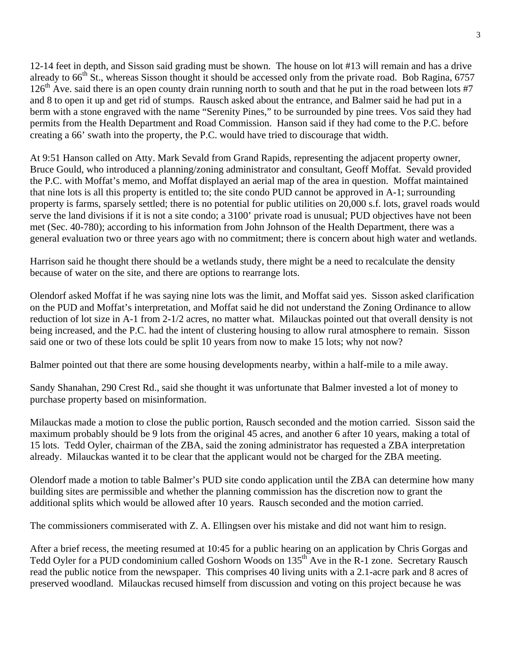12-14 feet in depth, and Sisson said grading must be shown. The house on lot #13 will remain and has a drive already to 66<sup>th</sup> St., whereas Sisson thought it should be accessed only from the private road. Bob Ragina, 6757  $126<sup>th</sup>$  Ave. said there is an open county drain running north to south and that he put in the road between lots #7 and 8 to open it up and get rid of stumps. Rausch asked about the entrance, and Balmer said he had put in a berm with a stone engraved with the name "Serenity Pines," to be surrounded by pine trees. Vos said they had permits from the Health Department and Road Commission. Hanson said if they had come to the P.C. before creating a 66' swath into the property, the P.C. would have tried to discourage that width.

At 9:51 Hanson called on Atty. Mark Sevald from Grand Rapids, representing the adjacent property owner, Bruce Gould, who introduced a planning/zoning administrator and consultant, Geoff Moffat. Sevald provided the P.C. with Moffat's memo, and Moffat displayed an aerial map of the area in question. Moffat maintained that nine lots is all this property is entitled to; the site condo PUD cannot be approved in A-1; surrounding property is farms, sparsely settled; there is no potential for public utilities on 20,000 s.f. lots, gravel roads would serve the land divisions if it is not a site condo; a 3100' private road is unusual; PUD objectives have not been met (Sec. 40-780); according to his information from John Johnson of the Health Department, there was a general evaluation two or three years ago with no commitment; there is concern about high water and wetlands.

Harrison said he thought there should be a wetlands study, there might be a need to recalculate the density because of water on the site, and there are options to rearrange lots.

Olendorf asked Moffat if he was saying nine lots was the limit, and Moffat said yes. Sisson asked clarification on the PUD and Moffat's interpretation, and Moffat said he did not understand the Zoning Ordinance to allow reduction of lot size in A-1 from 2-1/2 acres, no matter what. Milauckas pointed out that overall density is not being increased, and the P.C. had the intent of clustering housing to allow rural atmosphere to remain. Sisson said one or two of these lots could be split 10 years from now to make 15 lots; why not now?

Balmer pointed out that there are some housing developments nearby, within a half-mile to a mile away.

Sandy Shanahan, 290 Crest Rd., said she thought it was unfortunate that Balmer invested a lot of money to purchase property based on misinformation.

Milauckas made a motion to close the public portion, Rausch seconded and the motion carried. Sisson said the maximum probably should be 9 lots from the original 45 acres, and another 6 after 10 years, making a total of 15 lots. Tedd Oyler, chairman of the ZBA, said the zoning administrator has requested a ZBA interpretation already. Milauckas wanted it to be clear that the applicant would not be charged for the ZBA meeting.

Olendorf made a motion to table Balmer's PUD site condo application until the ZBA can determine how many building sites are permissible and whether the planning commission has the discretion now to grant the additional splits which would be allowed after 10 years. Rausch seconded and the motion carried.

The commissioners commiserated with Z. A. Ellingsen over his mistake and did not want him to resign.

After a brief recess, the meeting resumed at 10:45 for a public hearing on an application by Chris Gorgas and Tedd Oyler for a PUD condominium called Goshorn Woods on 135<sup>th</sup> Ave in the R-1 zone. Secretary Rausch read the public notice from the newspaper. This comprises 40 living units with a 2.1-acre park and 8 acres of preserved woodland. Milauckas recused himself from discussion and voting on this project because he was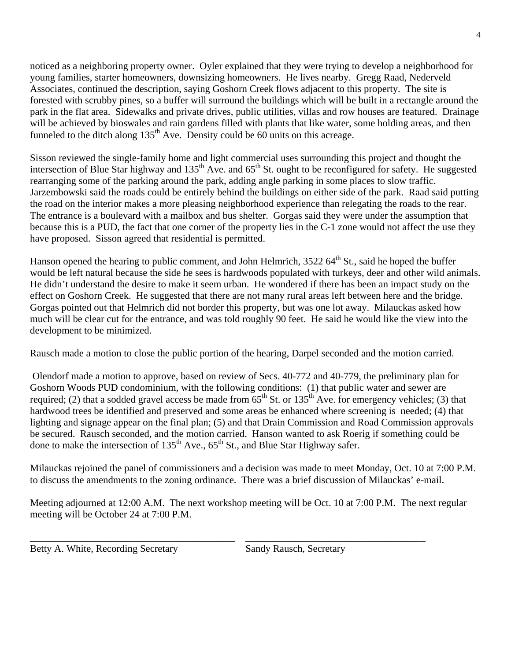noticed as a neighboring property owner. Oyler explained that they were trying to develop a neighborhood for young families, starter homeowners, downsizing homeowners. He lives nearby. Gregg Raad, Nederveld Associates, continued the description, saying Goshorn Creek flows adjacent to this property. The site is forested with scrubby pines, so a buffer will surround the buildings which will be built in a rectangle around the park in the flat area. Sidewalks and private drives, public utilities, villas and row houses are featured. Drainage will be achieved by bioswales and rain gardens filled with plants that like water, some holding areas, and then funneled to the ditch along  $135<sup>th</sup>$  Ave. Density could be 60 units on this acreage.

Sisson reviewed the single-family home and light commercial uses surrounding this project and thought the intersection of Blue Star highway and  $135<sup>th</sup>$  Ave. and  $65<sup>th</sup>$  St. ought to be reconfigured for safety. He suggested rearranging some of the parking around the park, adding angle parking in some places to slow traffic. Jarzembowski said the roads could be entirely behind the buildings on either side of the park. Raad said putting the road on the interior makes a more pleasing neighborhood experience than relegating the roads to the rear. The entrance is a boulevard with a mailbox and bus shelter. Gorgas said they were under the assumption that because this is a PUD, the fact that one corner of the property lies in the C-1 zone would not affect the use they have proposed. Sisson agreed that residential is permitted.

Hanson opened the hearing to public comment, and John Helmrich,  $3522.64<sup>th</sup>$  St., said he hoped the buffer would be left natural because the side he sees is hardwoods populated with turkeys, deer and other wild animals. He didn't understand the desire to make it seem urban. He wondered if there has been an impact study on the effect on Goshorn Creek. He suggested that there are not many rural areas left between here and the bridge. Gorgas pointed out that Helmrich did not border this property, but was one lot away. Milauckas asked how much will be clear cut for the entrance, and was told roughly 90 feet. He said he would like the view into the development to be minimized.

Rausch made a motion to close the public portion of the hearing, Darpel seconded and the motion carried.

 Olendorf made a motion to approve, based on review of Secs. 40-772 and 40-779, the preliminary plan for Goshorn Woods PUD condominium, with the following conditions: (1) that public water and sewer are required; (2) that a sodded gravel access be made from  $65<sup>th</sup>$  St. or 135<sup>th</sup> Ave. for emergency vehicles; (3) that hardwood trees be identified and preserved and some areas be enhanced where screening is needed; (4) that lighting and signage appear on the final plan; (5) and that Drain Commission and Road Commission approvals be secured. Rausch seconded, and the motion carried. Hanson wanted to ask Roerig if something could be done to make the intersection of 135<sup>th</sup> Ave.,  $65^{th}$  St., and Blue Star Highway safer.

Milauckas rejoined the panel of commissioners and a decision was made to meet Monday, Oct. 10 at 7:00 P.M. to discuss the amendments to the zoning ordinance. There was a brief discussion of Milauckas' e-mail.

Meeting adjourned at 12:00 A.M. The next workshop meeting will be Oct. 10 at 7:00 P.M. The next regular meeting will be October 24 at 7:00 P.M.

\_\_\_\_\_\_\_\_\_\_\_\_\_\_\_\_\_\_\_\_\_\_\_\_\_\_\_\_\_\_\_\_\_\_\_\_\_\_\_\_\_ \_\_\_\_\_\_\_\_\_\_\_\_\_\_\_\_\_\_\_\_\_\_\_\_\_\_\_\_\_\_\_\_\_\_\_\_

Betty A. White, Recording Secretary Sandy Rausch, Secretary